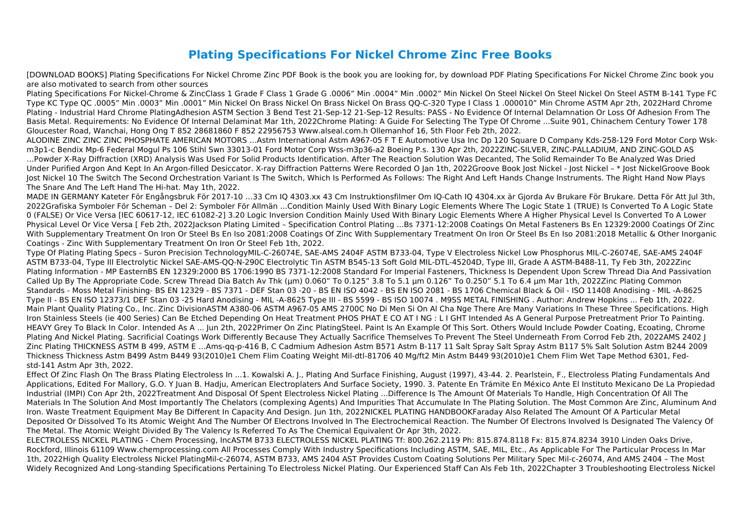## **Plating Specifications For Nickel Chrome Zinc Free Books**

[DOWNLOAD BOOKS] Plating Specifications For Nickel Chrome Zinc PDF Book is the book you are looking for, by download PDF Plating Specifications For Nickel Chrome Zinc book you are also motivated to search from other sources

Plating Specifications For Nickel-Chrome & ZincClass 1 Grade F Class 1 Grade G .0006" Min .0004" Min .0002" Min Nickel On Steel Nickel On Steel Nickel On Steel ASTM B-141 Type FC Type KC Type QC .0005" Min .0003" Min .0001" Min Nickel On Brass Nickel On Brass Nickel On Brass QQ-C-320 Type I Class 1 .000010" Min Chrome ASTM Apr 2th, 2022Hard Chrome Plating - Industrial Hard Chrome PlatingAdhesion ASTM Section 3 Bend Test 21-Sep-12 21-Sep-12 Results: PASS - No Evidence Of Internal Delamnation Or Loss Of Adhesion From The Basis Metal. Requirements: No Evidence Of Internal Delaminat Mar 1th, 2022Chrome Plating: A Guide For Selecting The Type Of Chrome ...Suite 901, Chinachem Century Tower 178 Gloucester Road, Wanchai, Hong Ong T 852 28681860 F 852 22956753 Www.alseal.com.h Ollemanhof 16, 5th Floor Feb 2th, 2022.

ALODINE ZINC ZINC ZINC PHOSPHATE AMERICAN MOTORS …Astm International Astm A967-05 F T E Automotive Usa Inc Dp 120 Square D Company Kds-258-129 Ford Motor Corp Wskm3p1-c Bendix Mp-6 Federal Mogul Ps 106 Stihl Swn 33013-01 Ford Motor Corp Wss-m3p36-a2 Boeing P.s. 130 Apr 2th, 2022ZINC-SILVER, ZINC-PALLADIUM, AND ZINC-GOLD AS …Powder X-Ray Diffraction (XRD) Analysis Was Used For Solid Products Identification. After The Reaction Solution Was Decanted, The Solid Remainder To Be Analyzed Was Dried Under Purified Argon And Kept In An Argon-filled Desiccator. X-ray Diffraction Patterns Were Recorded O Jan 1th, 2022Groove Book Jost Nickel - Jost Nickel – \* Jost NickelGroove Book Jost Nickel 10 The Switch The Second Orchestration Variant Is The Switch, Which Is Performed As Follows: The Right And Left Hands Change Instruments. The Right Hand Now Plays The Snare And The Left Hand The Hi-hat. May 1th, 2022.

MADE IN GERMANY Kateter För Engångsbruk För 2017-10 …33 Cm IQ 4303.xx 43 Cm Instruktionsfilmer Om IQ-Cath IQ 4304.xx är Gjorda Av Brukare För Brukare. Detta För Att Jul 3th, 2022Grafiska Symboler För Scheman – Del 2: Symboler För Allmän ...Condition Mainly Used With Binary Logic Elements Where The Logic State 1 (TRUE) Is Converted To A Logic State 0 (FALSE) Or Vice Versa [IEC 60617-12, IEC 61082-2] 3.20 Logic Inversion Condition Mainly Used With Binary Logic Elements Where A Higher Physical Level Is Converted To A Lower Physical Level Or Vice Versa [ Feb 2th, 2022Jackson Plating Limited – Specification Control Plating ...Bs 7371-12:2008 Coatings On Metal Fasteners Bs En 12329:2000 Coatings Of Zinc With Supplementary Treatment On Iron Or Steel Bs En Iso 2081:2008 Coatings Of Zinc With Supplementary Treatment On Iron Or Steel Bs En Iso 2081:2018 Metallic & Other Inorganic Coatings - Zinc With Supplementary Treatment On Iron Or Steel Feb 1th, 2022.

Type Of Plating Plating Specs - Suron Precision TechnologyMIL-C-26074E, SAE-AMS 2404F ASTM B733-04, Type V Electroless Nickel Low Phosphorus MIL-C-26074E, SAE-AMS 2404F ASTM B733-04, Type III Electrolytic Nickel SAE-AMS-QQ-N-290C Electrolytic Tin ASTM B545-13 Soft Gold MIL-DTL-45204D, Type III, Grade A ASTM-B488-11, Ty Feb 3th, 2022Zinc Plating Information - MP EasternBS EN 12329:2000 BS 1706:1990 BS 7371-12:2008 Standard For Imperial Fasteners, Thickness Is Dependent Upon Screw Thread Dia And Passivation Called Up By The Appropriate Code. Screw Thread Dia Batch Av Thk (um) 0.060" To 0.125" 3.8 To 5.1 um 0.126" To 0.250" 5.1 To 6.4 um Mar 1th, 2022Zinc Plating Common Standards - Moss Metal Finishing- BS EN 12329 - BS 7371 - DEF Stan 03 -20 - BS EN ISO 4042 - BS EN ISO 2081 - BS 1706 Chemical Black & Oil - ISO 11408 Anodising - MIL -A-8625 Type II - BS EN ISO 12373/1 DEF Stan 03 -25 Hard Anodising - MIL -A-8625 Type III - BS 5599 - BS ISO 10074 . M9SS METAL FINISHING . Author: Andrew Hopkins ... Feb 1th, 2022. Main Plant Quality Plating Co., Inc. Zinc DivisionASTM A380-06 ASTM A967-05 AMS 2700C No Di Men Si On Al Cha Nge There Are Many Variations In These Three Specifications. High Iron Stainless Steels (ie 400 Series) Can Be Etched Depending On Heat Treatment PHOS PHAT E CO AT I NG : L I GHT Intended As A General Purpose Pretreatment Prior To Painting. HEAVY Grey To Black In Color. Intended As A ... Jun 2th, 2022Primer On Zinc PlatingSteel. Paint Is An Example Of This Sort. Others Would Include Powder Coating, Ecoating, Chrome Plating And Nickel Plating. Sacrificial Coatings Work Differently Because They Actually Sacrifice Themselves To Prevent The Steel Underneath From Corrod Feb 2th, 2022AMS 2402 J Zinc Plating THICKNESS ASTM B 499, ASTM E …Ams-qq-p-416 B, C Cadmium Adhesion Astm B571 Astm B-117 11 Salt Spray Salt Spray Astm B117 5% Salt Solution Astm B244 2009 Thickness Thickness Astm B499 Astm B449 93(2010)e1 Chem Flim Coating Weight Mil-dtl-81706 40 Mg/ft2 Min Astm B449 93(2010)e1 Chem Flim Wet Tape Method 6301, Fedstd-141 Astm Apr 3th, 2022.

Effect Of Zinc Flash On The Brass Plating Electroless In ...1. Kowalski A. J., Plating And Surface Finishing, August (1997), 43-44. 2. Pearlstein, F., Electroless Plating Fundamentals And Applications, Edited For Mallory, G.O. Y Juan B. Hadju, American Electroplaters And Surface Society, 1990. 3. Patente En Trámite En México Ante El Instituto Mexicano De La Propiedad Industrial (IMPI) Con Apr 2th, 2022Treatment And Disposal Of Spent Electroless Nickel Plating ...Difference Is The Amount Of Materials To Handle, High Concentration Of All The Materials In The Solution And Most Importantly The Chelators (complexing Agents) And Impurities That Accumulate In The Plating Solution. The Most Common Are Zinc, Aluminum And Iron. Waste Treatment Equipment May Be Different In Capacity And Design. Jun 1th, 2022NICKEL PLATING HANDBOOKFaraday Also Related The Amount Of A Particular Metal Deposited Or Dissolved To Its Atomic Weight And The Number Of Electrons Involved In The Electrochemical Reaction. The Number Of Electrons Involved Is Designated The Valency Of The Metal. The Atomic Weight Divided By The Valency Is Referred To As The Chemical Equivalent Or Apr 3th, 2022.

ELECTROLESS NICKEL PLATING - Chem Processing, IncASTM B733 ELECTROLESS NICKEL PLATING Tf: 800.262.2119 Ph: 815.874.8118 Fx: 815.874.8234 3910 Linden Oaks Drive, Rockford, Illinois 61109 Www.chemprocessing.com All Processes Comply With Industry Specifications Including ASTM, SAE, MIL, Etc., As Applicable For The Particular Process In Mar 1th, 2022High Quality Electroless Nickel PlatingMil-c-26074, ASTM B733, AMS 2404 AST Provides Custom Coating Solutions Per Military Spec Mil-c-26074, And AMS 2404 – The Most Widely Recognized And Long-standing Specifications Pertaining To Electroless Nickel Plating. Our Experienced Staff Can Als Feb 1th, 2022Chapter 3 Troubleshooting Electroless Nickel